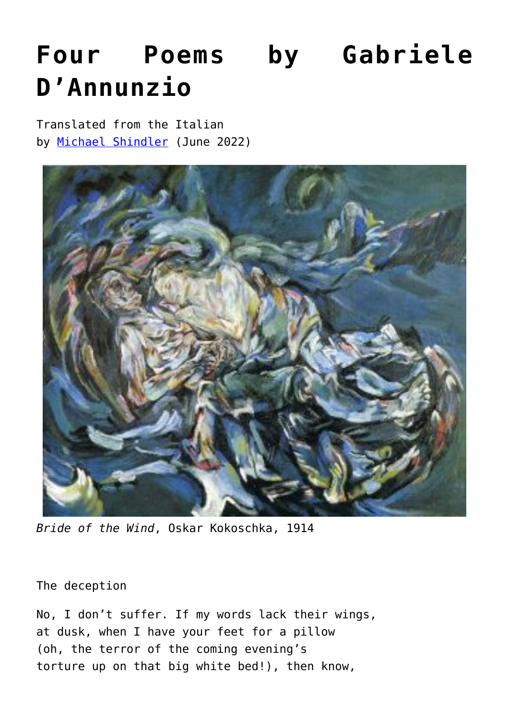# **[Four Poems by Gabriele](https://www.newenglishreview.org/articles/four-poems-by-gabriele-dannunzio/) [D'Annunzio](https://www.newenglishreview.org/articles/four-poems-by-gabriele-dannunzio/)**

Translated from the Italian by [Michael Shindler](https://www.newenglishreview.org/authors/michael-shindler/?) (June 2022)



*Bride of the Wind*, Oskar Kokoschka, 1914

The deception

No, I don't suffer. If my words lack their wings, at dusk, when I have your feet for a pillow (oh, the terror of the coming evening's torture up on that big white bed!), then know,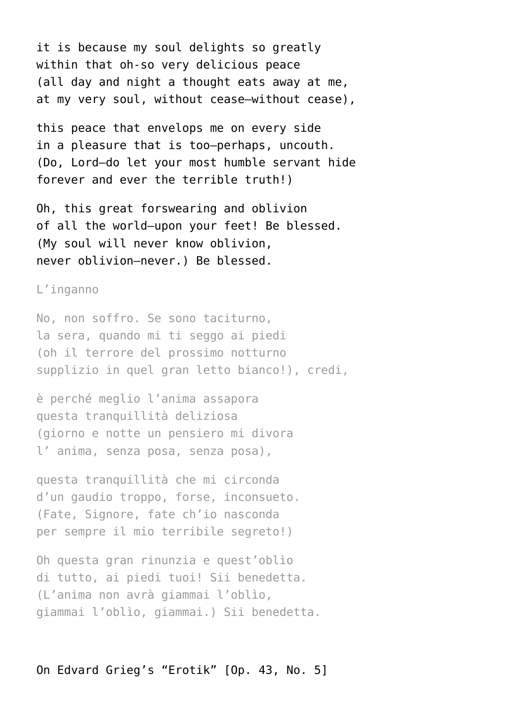it is because my soul delights so greatly within that oh-so very delicious peace (all day and night a thought eats away at me, at my very soul, without cease—without cease),

this peace that envelops me on every side in a pleasure that is too—perhaps, uncouth. (Do, Lord—do let your most humble servant hide forever and ever the terrible truth!)

Oh, this great forswearing and oblivion of all the world—upon your feet! Be blessed. (My soul will never know oblivion, never oblivion—never.) Be blessed.

#### L'inganno

No, non soffro. Se sono taciturno, la sera, quando mi ti seggo ai piedi (oh il terrore del prossimo notturno supplizio in quel gran letto bianco!), credi,

è perché meglio l'anima assapora questa tranquillità deliziosa (giorno e notte un pensiero mi divora l' anima, senza posa, senza posa),

questa tranquillità che mi circonda d'un gaudio troppo, forse, inconsueto. (Fate, Signore, fate ch'io nasconda per sempre il mio terribile segreto!)

Oh questa gran rinunzia e quest'oblìo di tutto, ai piedi tuoi! Sii benedetta. (L'anima non avrà giammai l'oblìo, giammai l'oblìo, giammai.) Sii benedetta.

## On Edvard Grieg's "Erotik" [Op. 43, No. 5]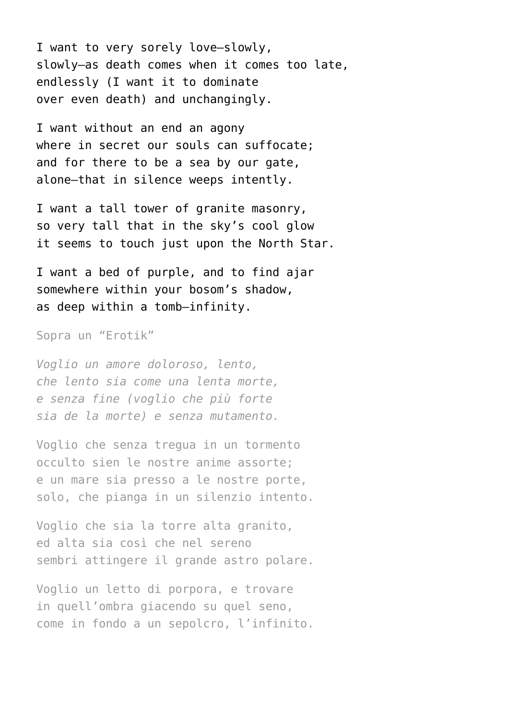I want to very sorely love—slowly, slowly—as death comes when it comes too late, endlessly (I want it to dominate over even death) and unchangingly.

I want without an end an agony where in secret our souls can suffocate: and for there to be a sea by our gate, alone—that in silence weeps intently.

I want a tall tower of granite masonry, so very tall that in the sky's cool glow it seems to touch just upon the North Star.

I want a bed of purple, and to find ajar somewhere within your bosom's shadow, as deep within a tomb—infinity.

Sopra un "Erotik"

*Voglio un amore doloroso, lento, che lento sia come una lenta morte, e senza fine (voglio che più forte sia de la morte) e senza mutamento.*

Voglio che senza tregua in un tormento occulto sien le nostre anime assorte; e un mare sia presso a le nostre porte, solo, che pianga in un silenzio intento.

Voglio che sia la torre alta granito, ed alta sia così che nel sereno sembri attingere il grande astro polare.

Voglio un letto di porpora, e trovare in quell'ombra giacendo su quel seno, come in fondo a un sepolcro, l'infinito.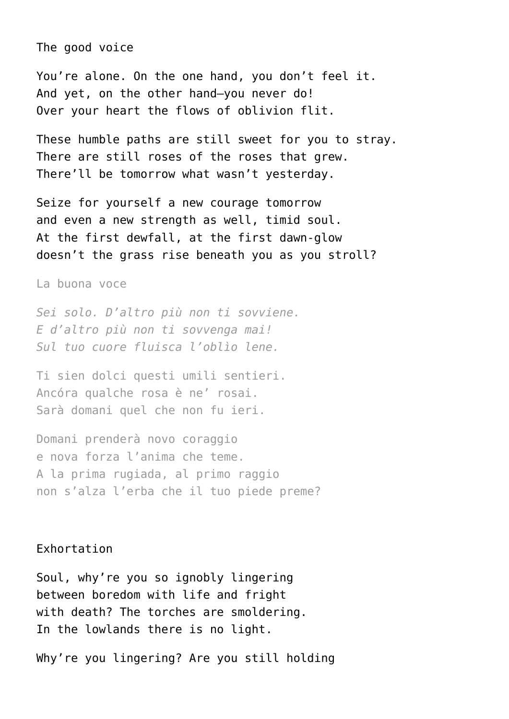The good voice

You're alone. On the one hand, you don't feel it. And yet, on the other hand—you never do! Over your heart the flows of oblivion flit.

These humble paths are still sweet for you to stray. There are still roses of the roses that grew. There'll be tomorrow what wasn't yesterday.

Seize for yourself a new courage tomorrow and even a new strength as well, timid soul. At the first dewfall, at the first dawn-glow doesn't the grass rise beneath you as you stroll?

La buona voce

*Sei solo. D'altro più non ti sovviene. E d'altro più non ti sovvenga mai! Sul tuo cuore fluisca l'oblìo lene.*

Ti sien dolci questi umili sentieri. Ancóra qualche rosa è ne' rosai. Sarà domani quel che non fu ieri.

Domani prenderà novo coraggio e nova forza l'anima che teme. A la prima rugiada, al primo raggio non s'alza l'erba che il tuo piede preme?

## Exhortation

Soul, why're you so ignobly lingering between boredom with life and fright with death? The torches are smoldering. In the lowlands there is no light.

Why're you lingering? Are you still holding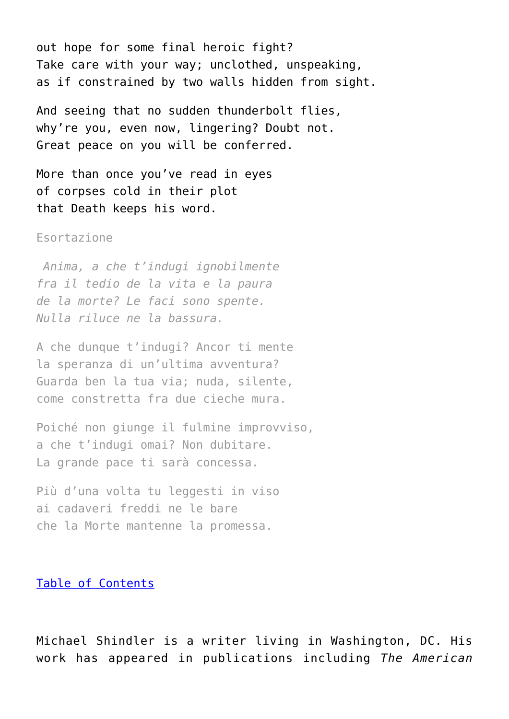out hope for some final heroic fight? Take care with your way; unclothed, unspeaking, as if constrained by two walls hidden from sight.

And seeing that no sudden thunderbolt flies, why're you, even now, lingering? Doubt not. Great peace on you will be conferred.

More than once you've read in eyes of corpses cold in their plot that Death keeps his word.

### Esortazione

 *Anima, a che t'indugi ignobilmente fra il tedio de la vita e la paura de la morte? Le faci sono spente. Nulla riluce ne la bassura.*

A che dunque t'indugi? Ancor ti mente la speranza di un'ultima avventura? Guarda ben la tua via; nuda, silente, come constretta fra due cieche mura.

Poiché non giunge il fulmine improvviso, a che t'indugi omai? Non dubitare. La grande pace ti sarà concessa.

Più d'una volta tu leggesti in viso ai cadaveri freddi ne le bare che la Morte mantenne la promessa.

#### [Table of Contents](https://www.newenglishreview.org/)

Michael Shindler is a writer living in Washington, DC. His work has appeared in publications including *The American*